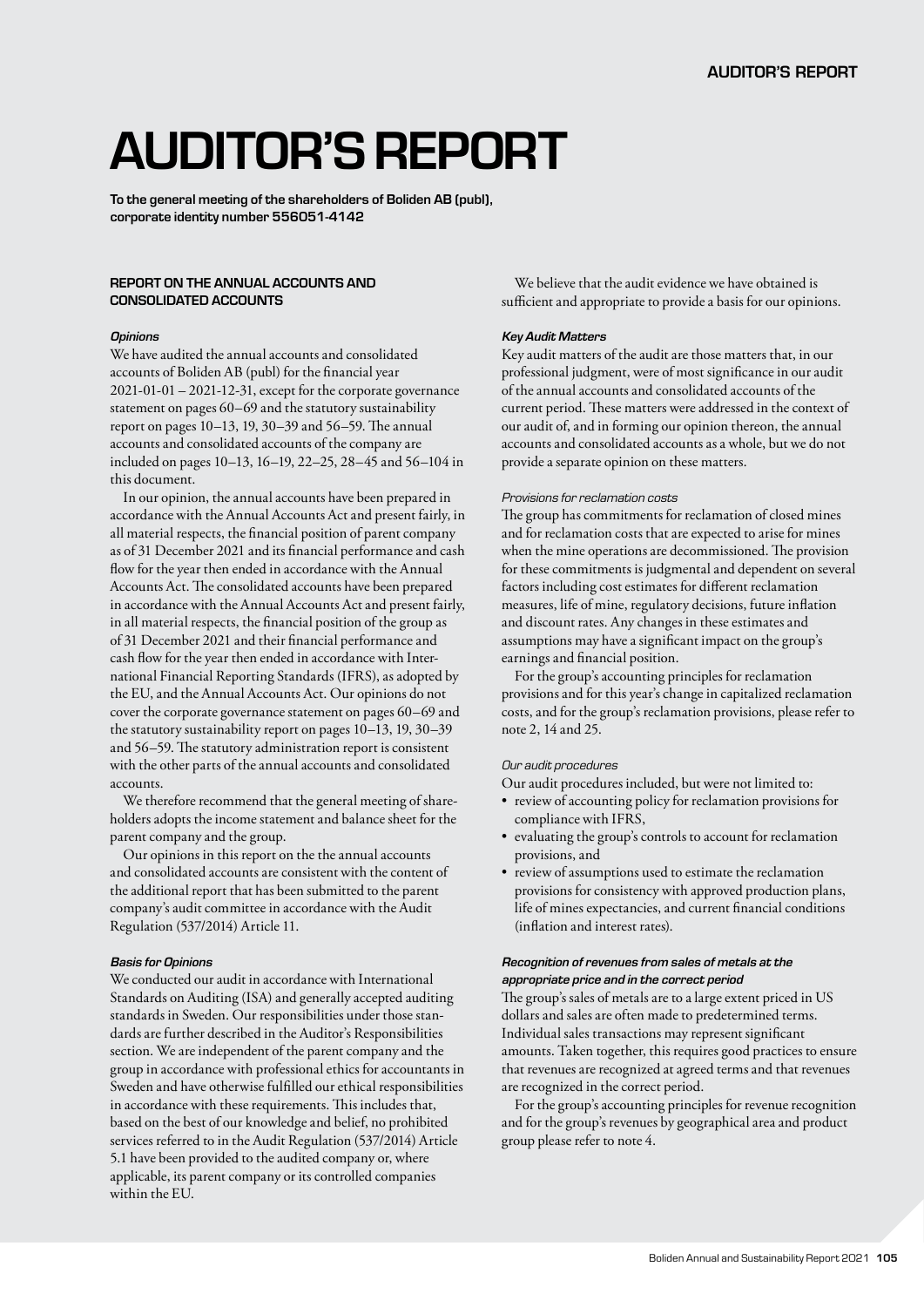# AUDITOR'S REPORT

To the general meeting of the shareholders of Boliden AB (publ), corporate identity number 556051-4142

## REPORT ON THE ANNUAL ACCOUNTS AND CONSOLIDATED ACCOUNTS

#### *Opinions*

We have audited the annual accounts and consolidated accounts of Boliden AB (publ) for the financial year 2021-01-01 – 2021-12-31, except for the corporate governance statement on pages 60–69 and the statutory sustainability report on pages 10–13, 19, 30–39 and 56–59. The annual accounts and consolidated accounts of the company are included on pages 10–13, 16–19, 22–25, 28–45 and 56–104 in this document.

In our opinion, the annual accounts have been prepared in accordance with the Annual Accounts Act and present fairly, in all material respects, the financial position of parent company as of 31 December 2021 and its financial performance and cash flow for the year then ended in accordance with the Annual Accounts Act. The consolidated accounts have been prepared in accordance with the Annual Accounts Act and present fairly, in all material respects, the financial position of the group as of 31 December 2021 and their financial performance and cash flow for the year then ended in accordance with International Financial Reporting Standards (IFRS), as adopted by the EU, and the Annual Accounts Act. Our opinions do not cover the corporate governance statement on pages 60–69 and the statutory sustainability report on pages 10–13, 19, 30–39 and 56–59. The statutory administration report is consistent with the other parts of the annual accounts and consolidated accounts.

We therefore recommend that the general meeting of shareholders adopts the income statement and balance sheet for the parent company and the group.

Our opinions in this report on the the annual accounts and consolidated accounts are consistent with the content of the additional report that has been submitted to the parent company's audit committee in accordance with the Audit Regulation (537/2014) Article 11.

#### *Basis for Opinions*

We conducted our audit in accordance with International Standards on Auditing (ISA) and generally accepted auditing standards in Sweden. Our responsibilities under those standards are further described in the Auditor's Responsibilities section. We are independent of the parent company and the group in accordance with professional ethics for accountants in Sweden and have otherwise fulfilled our ethical responsibilities in accordance with these requirements. This includes that, based on the best of our knowledge and belief, no prohibited services referred to in the Audit Regulation (537/2014) Article 5.1 have been provided to the audited company or, where applicable, its parent company or its controlled companies within the EU.

We believe that the audit evidence we have obtained is sufficient and appropriate to provide a basis for our opinions.

#### *Key Audit Matters*

Key audit matters of the audit are those matters that, in our professional judgment, were of most significance in our audit of the annual accounts and consolidated accounts of the current period. These matters were addressed in the context of our audit of, and in forming our opinion thereon, the annual accounts and consolidated accounts as a whole, but we do not provide a separate opinion on these matters.

#### *Provisions for reclamation costs*

The group has commitments for reclamation of closed mines and for reclamation costs that are expected to arise for mines when the mine operations are decommissioned. The provision for these commitments is judgmental and dependent on several factors including cost estimates for different reclamation measures, life of mine, regulatory decisions, future inflation and discount rates. Any changes in these estimates and assumptions may have a significant impact on the group's earnings and financial position.

For the group's accounting principles for reclamation provisions and for this year's change in capitalized reclamation costs, and for the group's reclamation provisions, please refer to note 2, 14 and 25.

## *Our audit procedures*

Our audit procedures included, but were not limited to:

- review of accounting policy for reclamation provisions for compliance with IFRS,
- evaluating the group's controls to account for reclamation provisions, and
- review of assumptions used to estimate the reclamation provisions for consistency with approved production plans, life of mines expectancies, and current financial conditions (inflation and interest rates).

## *Recognition of revenues from sales of metals at the appropriate price and in the correct period*

The group's sales of metals are to a large extent priced in US dollars and sales are often made to predetermined terms. Individual sales transactions may represent significant amounts. Taken together, this requires good practices to ensure that revenues are recognized at agreed terms and that revenues are recognized in the correct period.

For the group's accounting principles for revenue recognition and for the group's revenues by geographical area and product group please refer to note 4.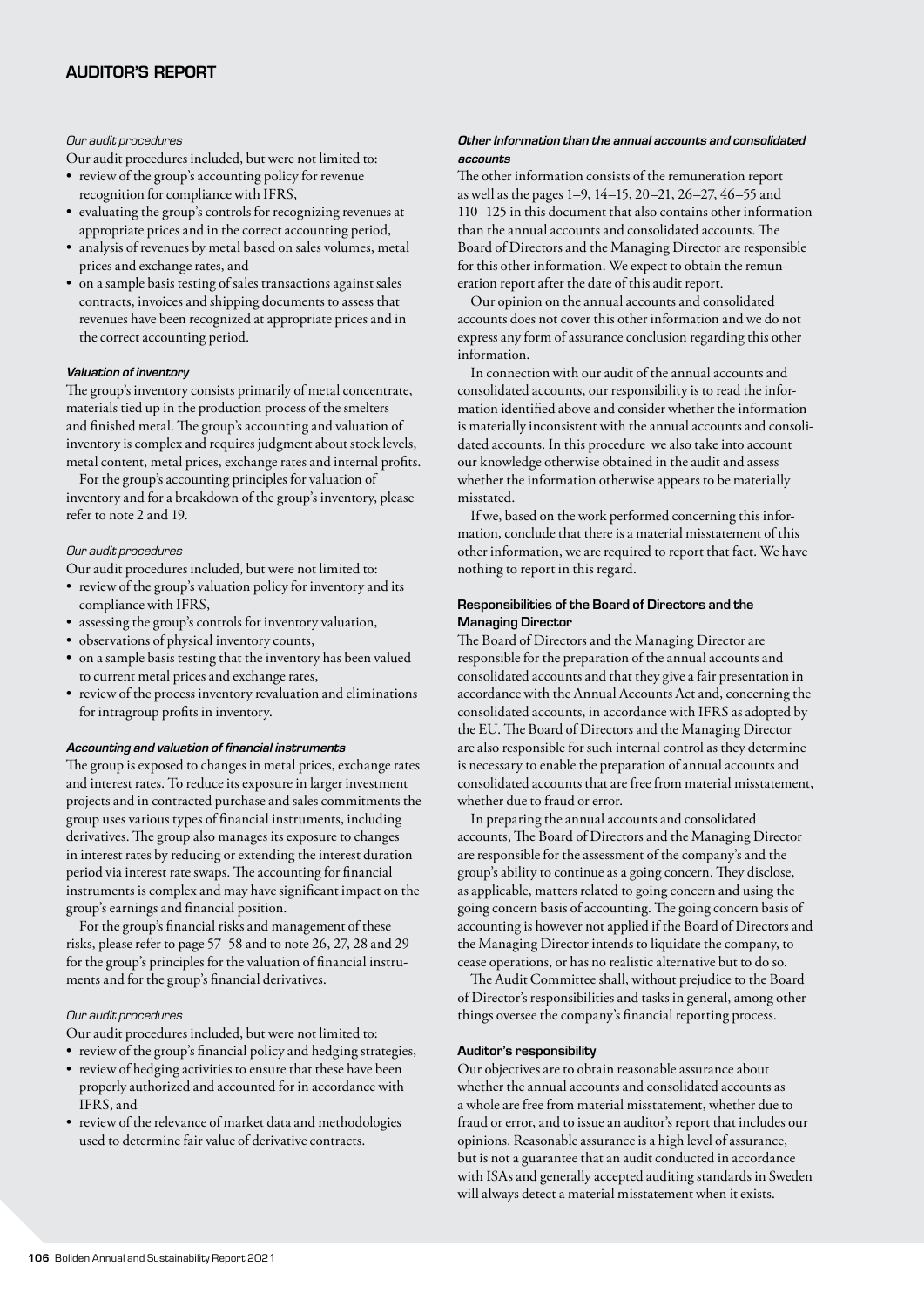## *Our audit procedures*

Our audit procedures included, but were not limited to:

- review of the group's accounting policy for revenue recognition for compliance with IFRS,
- evaluating the group's controls for recognizing revenues at appropriate prices and in the correct accounting period,
- analysis of revenues by metal based on sales volumes, metal prices and exchange rates, and
- on a sample basis testing of sales transactions against sales contracts, invoices and shipping documents to assess that revenues have been recognized at appropriate prices and in the correct accounting period.

#### *Valuation of inventory*

The group's inventory consists primarily of metal concentrate, materials tied up in the production process of the smelters and finished metal. The group's accounting and valuation of inventory is complex and requires judgment about stock levels, metal content, metal prices, exchange rates and internal profits.

For the group's accounting principles for valuation of inventory and for a breakdown of the group's inventory, please refer to note 2 and 19.

## *Our audit procedures*

Our audit procedures included, but were not limited to:

- review of the group's valuation policy for inventory and its compliance with IFRS,
- assessing the group's controls for inventory valuation,
- observations of physical inventory counts,
- on a sample basis testing that the inventory has been valued to current metal prices and exchange rates,
- review of the process inventory revaluation and eliminations for intragroup profits in inventory.

#### *Accounting and valuation of financial instruments*

The group is exposed to changes in metal prices, exchange rates and interest rates. To reduce its exposure in larger investment projects and in contracted purchase and sales commitments the group uses various types of financial instruments, including derivatives. The group also manages its exposure to changes in interest rates by reducing or extending the interest duration period via interest rate swaps. The accounting for financial instruments is complex and may have significant impact on the group's earnings and financial position.

For the group's financial risks and management of these risks, please refer to page 57–58 and to note 26, 27, 28 and 29 for the group's principles for the valuation of financial instruments and for the group's financial derivatives.

#### *Our audit procedures*

Our audit procedures included, but were not limited to: • review of the group's financial policy and hedging strategies,

- review of hedging activities to ensure that these have been properly authorized and accounted for in accordance with IFRS, and
- review of the relevance of market data and methodologies used to determine fair value of derivative contracts.

## *Other Information than the annual accounts and consolidated accounts*

The other information consists of the remuneration report as well as the pages 1–9, 14–15, 20–21, 26–27, 46–55 and 110–125 in this document that also contains other information than the annual accounts and consolidated accounts. The Board of Directors and the Managing Director are responsible for this other information. We expect to obtain the remuneration report after the date of this audit report.

Our opinion on the annual accounts and consolidated accounts does not cover this other information and we do not express any form of assurance conclusion regarding this other information.

In connection with our audit of the annual accounts and consolidated accounts, our responsibility is to read the information identified above and consider whether the information is materially inconsistent with the annual accounts and consolidated accounts. In this procedure we also take into account our knowledge otherwise obtained in the audit and assess whether the information otherwise appears to be materially misstated.

If we, based on the work performed concerning this information, conclude that there is a material misstatement of this other information, we are required to report that fact. We have nothing to report in this regard.

## Responsibilities of the Board of Directors and the Managing Director

The Board of Directors and the Managing Director are responsible for the preparation of the annual accounts and consolidated accounts and that they give a fair presentation in accordance with the Annual Accounts Act and, concerning the consolidated accounts, in accordance with IFRS as adopted by the EU. The Board of Directors and the Managing Director are also responsible for such internal control as they determine is necessary to enable the preparation of annual accounts and consolidated accounts that are free from material misstatement, whether due to fraud or error.

In preparing the annual accounts and consolidated accounts, The Board of Directors and the Managing Director are responsible for the assessment of the company's and the group's ability to continue as a going concern. They disclose, as applicable, matters related to going concern and using the going concern basis of accounting. The going concern basis of accounting is however not applied if the Board of Directors and the Managing Director intends to liquidate the company, to cease operations, or has no realistic alternative but to do so.

The Audit Committee shall, without prejudice to the Board of Director's responsibilities and tasks in general, among other things oversee the company's financial reporting process.

#### Auditor's responsibility

Our objectives are to obtain reasonable assurance about whether the annual accounts and consolidated accounts as a whole are free from material misstatement, whether due to fraud or error, and to issue an auditor's report that includes our opinions. Reasonable assurance is a high level of assurance, but is not a guarantee that an audit conducted in accordance with ISAs and generally accepted auditing standards in Sweden will always detect a material misstatement when it exists.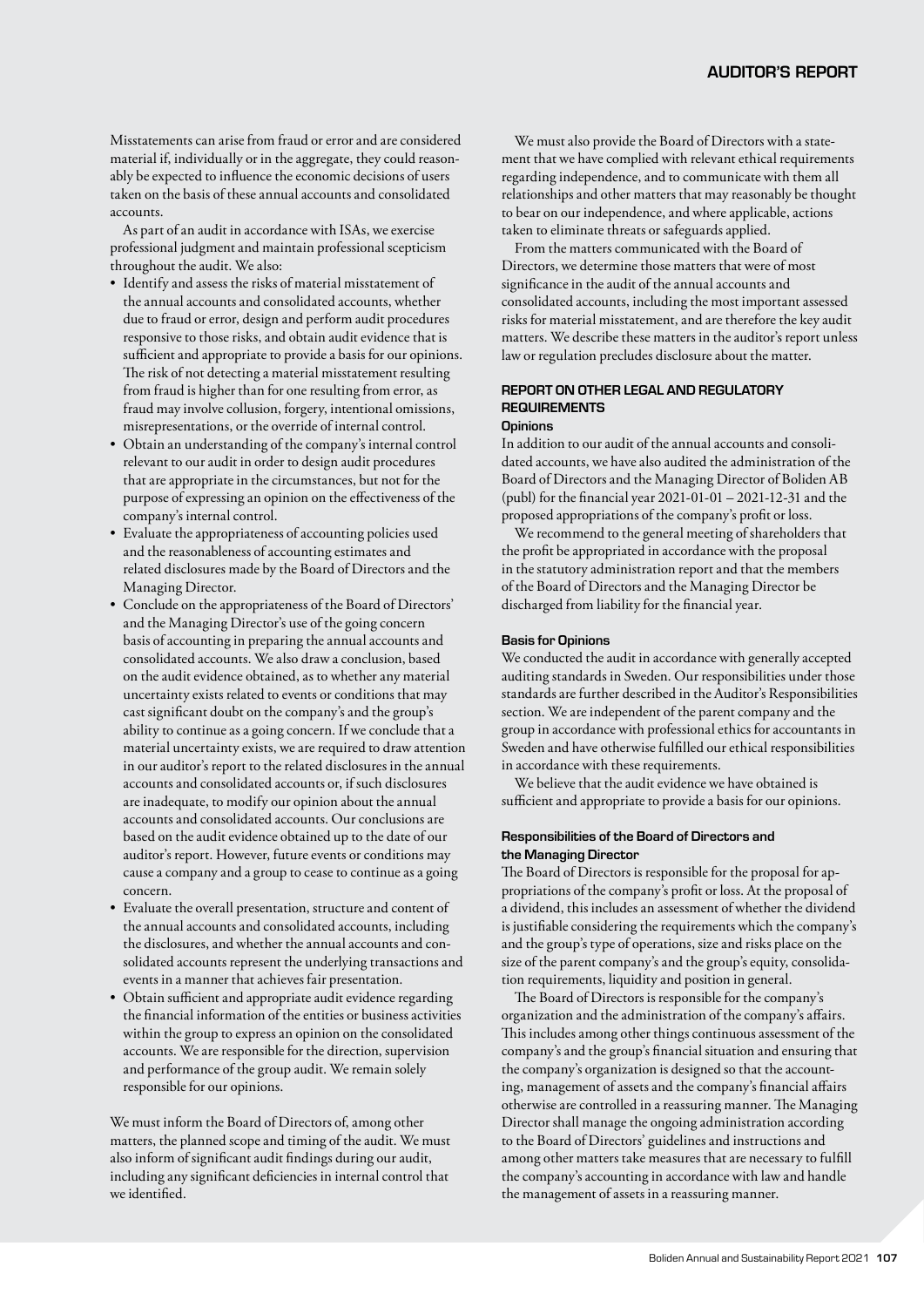Misstatements can arise from fraud or error and are considered material if, individually or in the aggregate, they could reasonably be expected to influence the economic decisions of users taken on the basis of these annual accounts and consolidated accounts.

As part of an audit in accordance with ISAs, we exercise professional judgment and maintain professional scepticism throughout the audit. We also:

- Identify and assess the risks of material misstatement of the annual accounts and consolidated accounts, whether due to fraud or error, design and perform audit procedures responsive to those risks, and obtain audit evidence that is sufficient and appropriate to provide a basis for our opinions. The risk of not detecting a material misstatement resulting from fraud is higher than for one resulting from error, as fraud may involve collusion, forgery, intentional omissions, misrepresentations, or the override of internal control.
- Obtain an understanding of the company's internal control relevant to our audit in order to design audit procedures that are appropriate in the circumstances, but not for the purpose of expressing an opinion on the effectiveness of the company's internal control.
- Evaluate the appropriateness of accounting policies used and the reasonableness of accounting estimates and related disclosures made by the Board of Directors and the Managing Director.
- Conclude on the appropriateness of the Board of Directors' and the Managing Director's use of the going concern basis of accounting in preparing the annual accounts and consolidated accounts. We also draw a conclusion, based on the audit evidence obtained, as to whether any material uncertainty exists related to events or conditions that may cast significant doubt on the company's and the group's ability to continue as a going concern. If we conclude that a material uncertainty exists, we are required to draw attention in our auditor's report to the related disclosures in the annual accounts and consolidated accounts or, if such disclosures are inadequate, to modify our opinion about the annual accounts and consolidated accounts. Our conclusions are based on the audit evidence obtained up to the date of our auditor's report. However, future events or conditions may cause a company and a group to cease to continue as a going concern.
- Evaluate the overall presentation, structure and content of the annual accounts and consolidated accounts, including the disclosures, and whether the annual accounts and consolidated accounts represent the underlying transactions and events in a manner that achieves fair presentation.
- Obtain sufficient and appropriate audit evidence regarding the financial information of the entities or business activities within the group to express an opinion on the consolidated accounts. We are responsible for the direction, supervision and performance of the group audit. We remain solely responsible for our opinions.

We must inform the Board of Directors of, among other matters, the planned scope and timing of the audit. We must also inform of significant audit findings during our audit, including any significant deficiencies in internal control that we identified.

We must also provide the Board of Directors with a statement that we have complied with relevant ethical requirements regarding independence, and to communicate with them all relationships and other matters that may reasonably be thought to bear on our independence, and where applicable, actions taken to eliminate threats or safeguards applied.

From the matters communicated with the Board of Directors, we determine those matters that were of most significance in the audit of the annual accounts and consolidated accounts, including the most important assessed risks for material misstatement, and are therefore the key audit matters. We describe these matters in the auditor's report unless law or regulation precludes disclosure about the matter.

## REPORT ON OTHER LEGAL AND REGULATORY **REQUIREMENTS Opinions**

In addition to our audit of the annual accounts and consolidated accounts, we have also audited the administration of the Board of Directors and the Managing Director of Boliden AB (publ) for the financial year 2021-01-01 – 2021-12-31 and the proposed appropriations of the company's profit or loss.

We recommend to the general meeting of shareholders that the profit be appropriated in accordance with the proposal in the statutory administration report and that the members of the Board of Directors and the Managing Director be discharged from liability for the financial year.

## Basis for Opinions

We conducted the audit in accordance with generally accepted auditing standards in Sweden. Our responsibilities under those standards are further described in the Auditor's Responsibilities section. We are independent of the parent company and the group in accordance with professional ethics for accountants in Sweden and have otherwise fulfilled our ethical responsibilities in accordance with these requirements.

We believe that the audit evidence we have obtained is sufficient and appropriate to provide a basis for our opinions.

## Responsibilities of the Board of Directors and the Managing Director

The Board of Directors is responsible for the proposal for appropriations of the company's profit or loss. At the proposal of a dividend, this includes an assessment of whether the dividend is justifiable considering the requirements which the company's and the group's type of operations, size and risks place on the size of the parent company's and the group's equity, consolidation requirements, liquidity and position in general.

The Board of Directors is responsible for the company's organization and the administration of the company's affairs. This includes among other things continuous assessment of the company's and the group's financial situation and ensuring that the company's organization is designed so that the accounting, management of assets and the company's financial affairs otherwise are controlled in a reassuring manner. The Managing Director shall manage the ongoing administration according to the Board of Directors' guidelines and instructions and among other matters take measures that are necessary to fulfill the company's accounting in accordance with law and handle the management of assets in a reassuring manner.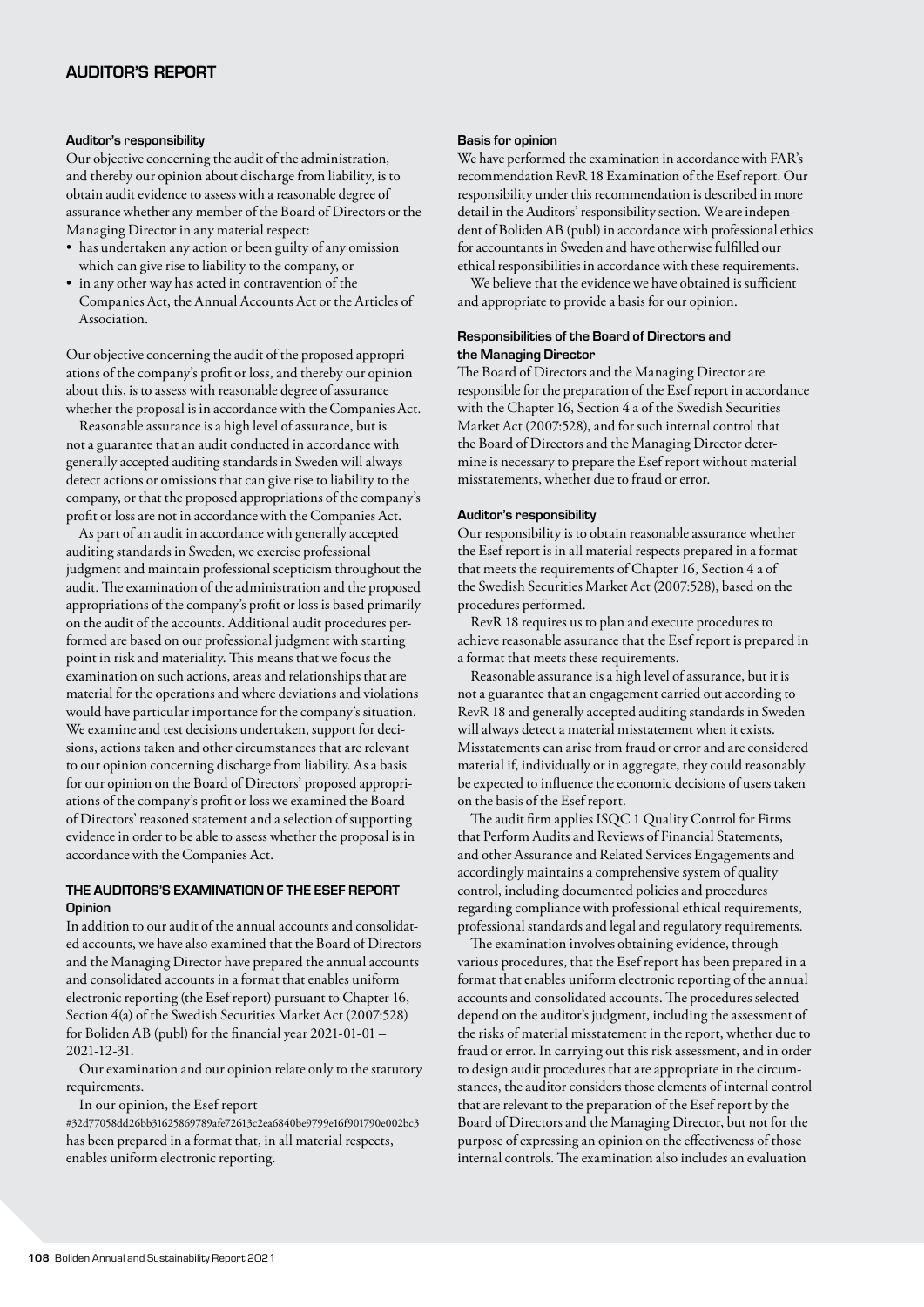#### Auditor's responsibility

Our objective concerning the audit of the administration, and thereby our opinion about discharge from liability, is to obtain audit evidence to assess with a reasonable degree of assurance whether any member of the Board of Directors or the Managing Director in any material respect:

- has undertaken any action or been guilty of any omission which can give rise to liability to the company, or
- in any other way has acted in contravention of the Companies Act, the Annual Accounts Act or the Articles of Association.

Our objective concerning the audit of the proposed appropriations of the company's profit or loss, and thereby our opinion about this, is to assess with reasonable degree of assurance whether the proposal is in accordance with the Companies Act.

Reasonable assurance is a high level of assurance, but is not a guarantee that an audit conducted in accordance with generally accepted auditing standards in Sweden will always detect actions or omissions that can give rise to liability to the company, or that the proposed appropriations of the company's profit or loss are not in accordance with the Companies Act.

As part of an audit in accordance with generally accepted auditing standards in Sweden, we exercise professional judgment and maintain professional scepticism throughout the audit. The examination of the administration and the proposed appropriations of the company's profit or loss is based primarily on the audit of the accounts. Additional audit procedures performed are based on our professional judgment with starting point in risk and materiality. This means that we focus the examination on such actions, areas and relationships that are material for the operations and where deviations and violations would have particular importance for the company's situation. We examine and test decisions undertaken, support for decisions, actions taken and other circumstances that are relevant to our opinion concerning discharge from liability. As a basis for our opinion on the Board of Directors' proposed appropriations of the company's profit or loss we examined the Board of Directors' reasoned statement and a selection of supporting evidence in order to be able to assess whether the proposal is in accordance with the Companies Act.

# THE AUDITORS'S EXAMINATION OF THE ESEF REPORT **Opinion**

In addition to our audit of the annual accounts and consolidated accounts, we have also examined that the Board of Directors and the Managing Director have prepared the annual accounts and consolidated accounts in a format that enables uniform electronic reporting (the Esef report) pursuant to Chapter 16, Section 4(a) of the Swedish Securities Market Act (2007:528) for Boliden AB (publ) for the financial year 2021-01-01 – 2021-12-31.

Our examination and our opinion relate only to the statutory requirements.

In our opinion, the Esef report

#32d77058dd26bb31625869789afe72613c2ea6840be9799e16f901790e002bc3 has been prepared in a format that, in all material respects, enables uniform electronic reporting.

## Basis for opinion

We have performed the examination in accordance with FAR's recommendation RevR 18 Examination of the Esef report. Our responsibility under this recommendation is described in more detail in the Auditors' responsibility section. We are independent of Boliden AB (publ) in accordance with professional ethics for accountants in Sweden and have otherwise fulfilled our ethical responsibilities in accordance with these requirements.

We believe that the evidence we have obtained is sufficient and appropriate to provide a basis for our opinion.

## Responsibilities of the Board of Directors and the Managing Director

The Board of Directors and the Managing Director are responsible for the preparation of the Esef report in accordance with the Chapter 16, Section 4 a of the Swedish Securities Market Act (2007:528), and for such internal control that the Board of Directors and the Managing Director determine is necessary to prepare the Esef report without material misstatements, whether due to fraud or error.

#### Auditor's responsibility

Our responsibility is to obtain reasonable assurance whether the Esef report is in all material respects prepared in a format that meets the requirements of Chapter 16, Section 4 a of the Swedish Securities Market Act (2007:528), based on the procedures performed.

RevR 18 requires us to plan and execute procedures to achieve reasonable assurance that the Esef report is prepared in a format that meets these requirements.

Reasonable assurance is a high level of assurance, but it is not a guarantee that an engagement carried out according to RevR 18 and generally accepted auditing standards in Sweden will always detect a material misstatement when it exists. Misstatements can arise from fraud or error and are considered material if, individually or in aggregate, they could reasonably be expected to influence the economic decisions of users taken on the basis of the Esef report.

The audit firm applies ISQC 1 Quality Control for Firms that Perform Audits and Reviews of Financial Statements, and other Assurance and Related Services Engagements and accordingly maintains a comprehensive system of quality control, including documented policies and procedures regarding compliance with professional ethical requirements, professional standards and legal and regulatory requirements.

The examination involves obtaining evidence, through various procedures, that the Esef report has been prepared in a format that enables uniform electronic reporting of the annual accounts and consolidated accounts. The procedures selected depend on the auditor's judgment, including the assessment of the risks of material misstatement in the report, whether due to fraud or error. In carrying out this risk assessment, and in order to design audit procedures that are appropriate in the circumstances, the auditor considers those elements of internal control that are relevant to the preparation of the Esef report by the Board of Directors and the Managing Director, but not for the purpose of expressing an opinion on the effectiveness of those internal controls. The examination also includes an evaluation